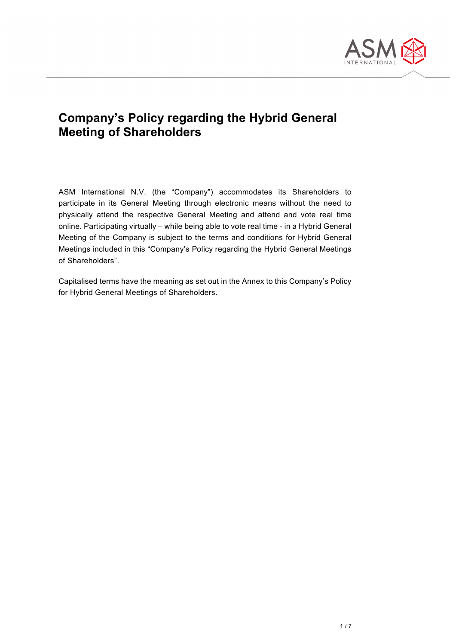

## **Company's Policy regarding the Hybrid General Meeting of Shareholders**

ASM International N.V. (the "Company") accommodates its Shareholders to participate in its General Meeting through electronic means without the need to physically attend the respective General Meeting and attend and vote real time online. Participating virtually – while being able to vote real time - in a Hybrid General Meeting of the Company is subject to the terms and conditions for Hybrid General Meetings included in this "Company's Policy regarding the Hybrid General Meetings of Shareholders".

Capitalised terms have the meaning as set out in the Annex to this Company's Policy for Hybrid General Meetings of Shareholders.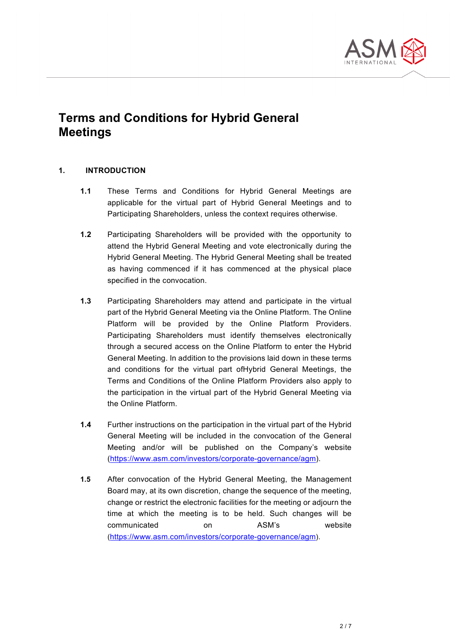

# **Terms and Conditions for Hybrid General Meetings**

#### **1. INTRODUCTION**

- **1.1** These Terms and Conditions for Hybrid General Meetings are applicable for the virtual part of Hybrid General Meetings and to Participating Shareholders, unless the context requires otherwise.
- **1.2** Participating Shareholders will be provided with the opportunity to attend the Hybrid General Meeting and vote electronically during the Hybrid General Meeting. The Hybrid General Meeting shall be treated as having commenced if it has commenced at the physical place specified in the convocation.
- **1.3** Participating Shareholders may attend and participate in the virtual part of the Hybrid General Meeting via the Online Platform. The Online Platform will be provided by the Online Platform Providers. Participating Shareholders must identify themselves electronically through a secured access on the Online Platform to enter the Hybrid General Meeting. In addition to the provisions laid down in these terms and conditions for the virtual part ofHybrid General Meetings, the Terms and Conditions of the Online Platform Providers also apply to the participation in the virtual part of the Hybrid General Meeting via the Online Platform.
- **1.4** Further instructions on the participation in the virtual part of the Hybrid General Meeting will be included in the convocation of the General Meeting and/or will be published on the Company's website [\(https://www.asm.com/investors/corporate-governance/agm\)](https://www.asm.com/investors/corporate-governance/agm).
- **1.5** After convocation of the Hybrid General Meeting, the Management Board may, at its own discretion, change the sequence of the meeting, change or restrict the electronic facilities for the meeting or adjourn the time at which the meeting is to be held. Such changes will be communicated on ASM's website [\(https://www.asm.com/investors/corporate-governance/agm\)](https://www.asm.com/investors/corporate-governance/agm).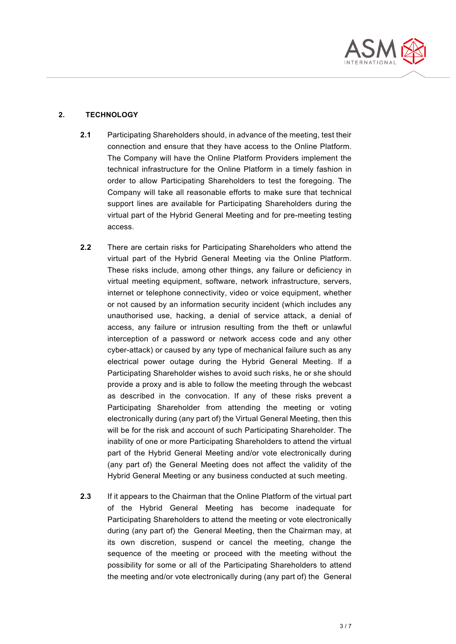

#### **2. TECHNOLOGY**

- **2.1** Participating Shareholders should, in advance of the meeting, test their connection and ensure that they have access to the Online Platform. The Company will have the Online Platform Providers implement the technical infrastructure for the Online Platform in a timely fashion in order to allow Participating Shareholders to test the foregoing. The Company will take all reasonable efforts to make sure that technical support lines are available for Participating Shareholders during the virtual part of the Hybrid General Meeting and for pre-meeting testing access.
- **2.2** There are certain risks for Participating Shareholders who attend the virtual part of the Hybrid General Meeting via the Online Platform. These risks include, among other things, any failure or deficiency in virtual meeting equipment, software, network infrastructure, servers, internet or telephone connectivity, video or voice equipment, whether or not caused by an information security incident (which includes any unauthorised use, hacking, a denial of service attack, a denial of access, any failure or intrusion resulting from the theft or unlawful interception of a password or network access code and any other cyber-attack) or caused by any type of mechanical failure such as any electrical power outage during the Hybrid General Meeting. If a Participating Shareholder wishes to avoid such risks, he or she should provide a proxy and is able to follow the meeting through the webcast as described in the convocation. If any of these risks prevent a Participating Shareholder from attending the meeting or voting electronically during (any part of) the Virtual General Meeting, then this will be for the risk and account of such Participating Shareholder. The inability of one or more Participating Shareholders to attend the virtual part of the Hybrid General Meeting and/or vote electronically during (any part of) the General Meeting does not affect the validity of the Hybrid General Meeting or any business conducted at such meeting.
- **2.3** If it appears to the Chairman that the Online Platform of the virtual part of the Hybrid General Meeting has become inadequate for Participating Shareholders to attend the meeting or vote electronically during (any part of) the General Meeting, then the Chairman may, at its own discretion, suspend or cancel the meeting, change the sequence of the meeting or proceed with the meeting without the possibility for some or all of the Participating Shareholders to attend the meeting and/or vote electronically during (any part of) the General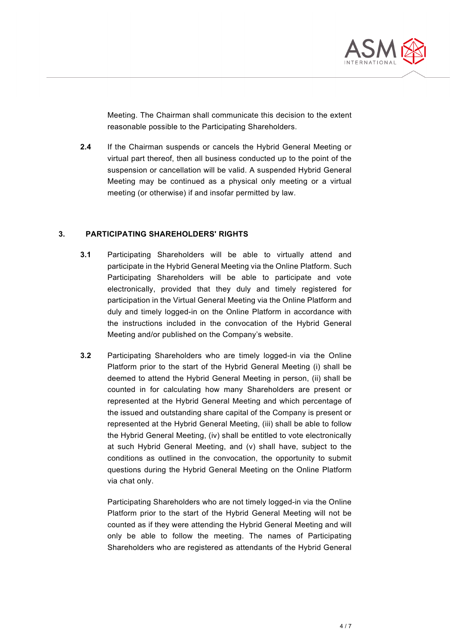

Meeting. The Chairman shall communicate this decision to the extent reasonable possible to the Participating Shareholders.

**2.4** If the Chairman suspends or cancels the Hybrid General Meeting or virtual part thereof, then all business conducted up to the point of the suspension or cancellation will be valid. A suspended Hybrid General Meeting may be continued as a physical only meeting or a virtual meeting (or otherwise) if and insofar permitted by law.

#### **3. PARTICIPATING SHAREHOLDERS' RIGHTS**

- **3.1** Participating Shareholders will be able to virtually attend and participate in the Hybrid General Meeting via the Online Platform. Such Participating Shareholders will be able to participate and vote electronically, provided that they duly and timely registered for participation in the Virtual General Meeting via the Online Platform and duly and timely logged-in on the Online Platform in accordance with the instructions included in the convocation of the Hybrid General Meeting and/or published on the Company's website.
- **3.2** Participating Shareholders who are timely logged-in via the Online Platform prior to the start of the Hybrid General Meeting (i) shall be deemed to attend the Hybrid General Meeting in person, (ii) shall be counted in for calculating how many Shareholders are present or represented at the Hybrid General Meeting and which percentage of the issued and outstanding share capital of the Company is present or represented at the Hybrid General Meeting, (iii) shall be able to follow the Hybrid General Meeting, (iv) shall be entitled to vote electronically at such Hybrid General Meeting, and (v) shall have, subject to the conditions as outlined in the convocation, the opportunity to submit questions during the Hybrid General Meeting on the Online Platform via chat only.

Participating Shareholders who are not timely logged-in via the Online Platform prior to the start of the Hybrid General Meeting will not be counted as if they were attending the Hybrid General Meeting and will only be able to follow the meeting. The names of Participating Shareholders who are registered as attendants of the Hybrid General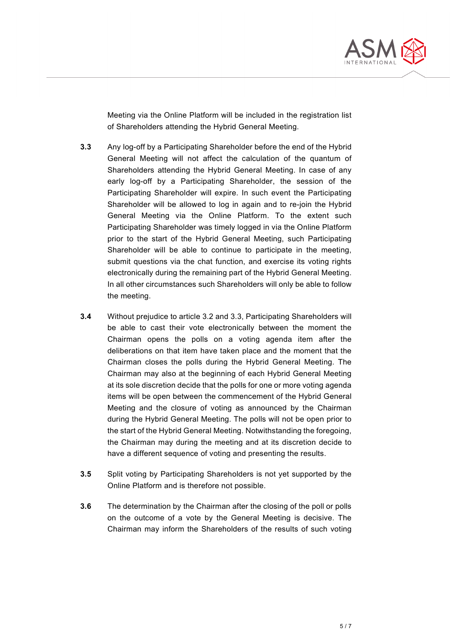

Meeting via the Online Platform will be included in the registration list of Shareholders attending the Hybrid General Meeting.

- **3.3** Any log-off by a Participating Shareholder before the end of the Hybrid General Meeting will not affect the calculation of the quantum of Shareholders attending the Hybrid General Meeting. In case of any early log-off by a Participating Shareholder, the session of the Participating Shareholder will expire. In such event the Participating Shareholder will be allowed to log in again and to re-join the Hybrid General Meeting via the Online Platform. To the extent such Participating Shareholder was timely logged in via the Online Platform prior to the start of the Hybrid General Meeting, such Participating Shareholder will be able to continue to participate in the meeting, submit questions via the chat function, and exercise its voting rights electronically during the remaining part of the Hybrid General Meeting. In all other circumstances such Shareholders will only be able to follow the meeting.
- **3.4** Without prejudice to article 3.2 and 3.3, Participating Shareholders will be able to cast their vote electronically between the moment the Chairman opens the polls on a voting agenda item after the deliberations on that item have taken place and the moment that the Chairman closes the polls during the Hybrid General Meeting. The Chairman may also at the beginning of each Hybrid General Meeting at its sole discretion decide that the polls for one or more voting agenda items will be open between the commencement of the Hybrid General Meeting and the closure of voting as announced by the Chairman during the Hybrid General Meeting. The polls will not be open prior to the start of the Hybrid General Meeting. Notwithstanding the foregoing, the Chairman may during the meeting and at its discretion decide to have a different sequence of voting and presenting the results.
- **3.5** Split voting by Participating Shareholders is not yet supported by the Online Platform and is therefore not possible.
- **3.6** The determination by the Chairman after the closing of the poll or polls on the outcome of a vote by the General Meeting is decisive. The Chairman may inform the Shareholders of the results of such voting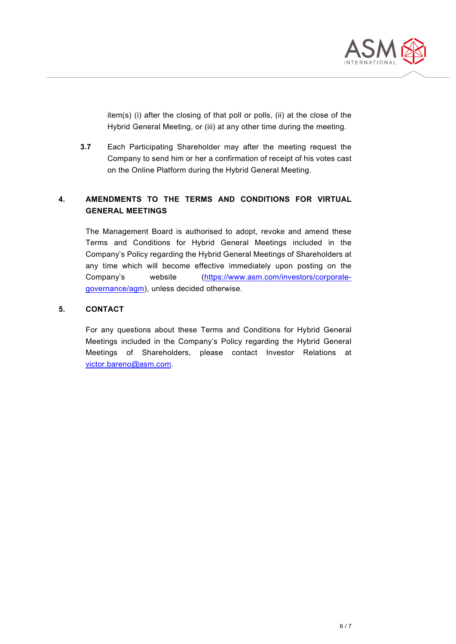

item(s) (i) after the closing of that poll or polls, (ii) at the close of the Hybrid General Meeting, or (iii) at any other time during the meeting.

**3.7** Each Participating Shareholder may after the meeting request the Company to send him or her a confirmation of receipt of his votes cast on the Online Platform during the Hybrid General Meeting.

### **4. AMENDMENTS TO THE TERMS AND CONDITIONS FOR VIRTUAL GENERAL MEETINGS**

The Management Board is authorised to adopt, revoke and amend these Terms and Conditions for Hybrid General Meetings included in the Company's Policy regarding the Hybrid General Meetings of Shareholders at any time which will become effective immediately upon posting on the Company's website [\(https://www.asm.com/investors/corporate](https://www.asm.com/investors/corporate-governance/agm)[governance/agm\)](https://www.asm.com/investors/corporate-governance/agm), unless decided otherwise.

#### **5. CONTACT**

For any questions about these Terms and Conditions for Hybrid General Meetings included in the Company's Policy regarding the Hybrid General Meetings of Shareholders, please contact Investor Relations at [victor.bareno@asm.com.](mailto:victor.bareno@asm.com)